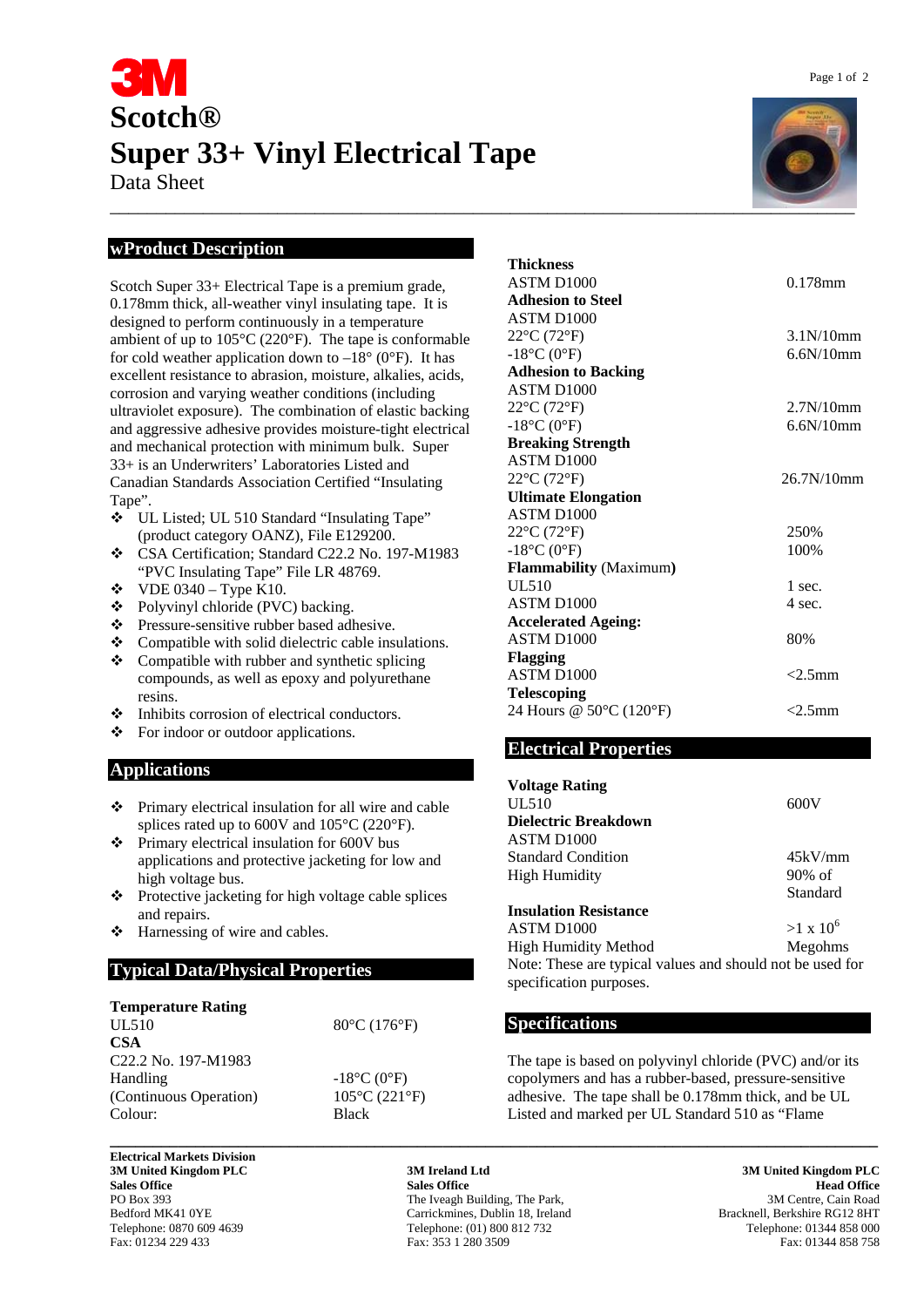# **Scotch® Super 33+ Vinyl Electrical Tape**

Data Sheet

### **wProduct Description**

Scotch Super 33+ Electrical Tape is a premium grade, 0.178mm thick, all-weather vinyl insulating tape. It is designed to perform continuously in a temperature ambient of up to 105°C (220°F). The tape is conformable for cold weather application down to  $-18^{\circ}$  (0°F). It has excellent resistance to abrasion, moisture, alkalies, acids, corrosion and varying weather conditions (including ultraviolet exposure). The combination of elastic backing and aggressive adhesive provides moisture-tight electrical and mechanical protection with minimum bulk. Super 33+ is an Underwriters' Laboratories Listed and Canadian Standards Association Certified "Insulating Tape".

- UL Listed; UL 510 Standard "Insulating Tape" (product category OANZ), File E129200.
- \* CSA Certification: Standard C22.2 No. 197-M1983 "PVC Insulating Tape" File LR 48769.
- $\div$  VDE 0340 Type K10.
- Polyvinyl chloride (PVC) backing.
- Pressure-sensitive rubber based adhesive.
- \* Compatible with solid dielectric cable insulations.
- Compatible with rubber and synthetic splicing compounds, as well as epoxy and polyurethane resins.
- $\div$  Inhibits corrosion of electrical conductors.
- ❖ For indoor or outdoor applications.

### **Applications**

- Primary electrical insulation for all wire and cable splices rated up to 600V and 105°C (220°F).
- $\div$  Primary electrical insulation for 600V bus applications and protective jacketing for low and high voltage bus.
- $\triangle$  Protective jacketing for high voltage cable splices and repairs.
- Harnessing of wire and cables.

### **Typical Data/Physical Properties**

| <b>Temperature Rating</b>                               |                                    |
|---------------------------------------------------------|------------------------------------|
| UL510                                                   | $80^{\circ}$ C (176 $^{\circ}$ F)  |
| <b>CSA</b>                                              |                                    |
| C <sub>22.2</sub> N <sub>o.</sub> 197-M <sub>1983</sub> |                                    |
| Handling                                                | $-18^{\circ}C(0^{\circ}F)$         |
| (Continuous Operation)                                  | $105^{\circ}$ C (221 $^{\circ}$ F) |
| Colour:                                                 | <b>Black</b>                       |
|                                                         |                                    |

**Electrical Markets Division 3M United Kingdom PLC 3M Ireland Ltd 3M United Kingdom PLC** 

\_\_\_\_\_\_\_\_\_\_\_\_\_\_\_\_\_\_\_\_\_\_\_\_\_\_\_\_\_\_\_\_\_\_\_\_\_\_\_\_\_\_\_\_\_\_\_\_\_\_\_\_\_\_\_\_\_\_\_\_\_\_\_\_\_\_\_\_\_\_\_\_\_\_\_\_\_\_\_\_

| Thickness                        |                                    |
|----------------------------------|------------------------------------|
| ASTM D1000                       | $0.178$ mm                         |
| <b>Adhesion to Steel</b>         |                                    |
| ASTM D <sub>1000</sub>           |                                    |
| $22^{\circ}C(72^{\circ}F)$       | 3.1 <sub>N</sub> /10 <sub>mm</sub> |
| $-18$ °C (0°F)                   | 6.6N/10mm                          |
| <b>Adhesion to Backing</b>       |                                    |
| ASTM D <sub>1000</sub>           |                                    |
| $22^{\circ}C(72^{\circ}F)$       | 2.7N/10mm                          |
| $-18$ °C (0°F)                   | 6.6N/10mm                          |
| <b>Breaking Strength</b>         |                                    |
| ASTM D <sub>1000</sub>           |                                    |
| $22^{\circ}C(72^{\circ}F)$       | 26.7N/10mm                         |
| <b>Ultimate Elongation</b>       |                                    |
| ASTM D <sub>1000</sub>           |                                    |
| $22^{\circ}$ C (72 $^{\circ}$ F) | 250%                               |
| $-18$ °C (0°F)                   | 100%                               |
| <b>Flammability</b> (Maximum)    |                                    |
| <b>UL510</b>                     | 1 sec.                             |
| ASTM D <sub>1000</sub>           | 4 sec.                             |
| <b>Accelerated Ageing:</b>       |                                    |
| ASTM D <sub>1000</sub>           | 80%                                |
| <b>Flagging</b>                  |                                    |
| ASTM D <sub>1000</sub>           | $<$ 2.5mm                          |
| <b>Telescoping</b>               |                                    |
| 24 Hours @ 50°C (120°F)          | $<$ 2.5mm                          |
|                                  |                                    |

### **Electrical Properties**

| <b>Voltage Rating</b>                                     |                  |
|-----------------------------------------------------------|------------------|
| UL510                                                     | 600V             |
| Dielectric Breakdown                                      |                  |
| ASTM D <sub>1000</sub>                                    |                  |
| <b>Standard Condition</b>                                 | 45kV/mm          |
| <b>High Humidity</b>                                      | $90\%$ of        |
|                                                           | Standard         |
| <b>Insulation Resistance</b>                              |                  |
| ASTM D <sub>1000</sub>                                    | $>1 \times 10^6$ |
| <b>High Humidity Method</b>                               | Megohms          |
| Note: These are typical values and should not be used for |                  |
| specification purposes.                                   |                  |

### **Specifications**

The tape is based on polyvinyl chloride (PVC) and/or its copolymers and has a rubber-based, pressure-sensitive adhesive. The tape shall be 0.178mm thick, and be UL Listed and marked per UL Standard 510 as "Flame

**Sales Office All and Sales Office Sales Office Sales Office Read Office Sales Office Read Office Read Office** PO Box 393 The Iveagh Building, The Park, 393 3M Centre, Cain Road<br>Bedford MK41 0YE Carrickmines, Dublin 18, Ireland Bracknell, Berkshire RG12 8HT Bedford MK41 0YE Carrickmines, Dublin 18, Ireland Bracknell, Berkshire RG12 8HT Clephone: 0870 609 4639 Carrickmines, Dublin 18, Ireland Bracknell, Berkshire RG12 8HT Clephone: 01344 858 000 Telephone: (01) 800 812 732 Fax: 01234 229 433 Fax: 353 1 280 3509 Fax: 01344 858 758

**\_\_\_\_\_\_\_\_\_\_\_\_\_\_\_\_\_\_\_\_\_\_\_\_\_\_\_\_\_\_\_\_\_\_\_\_\_\_\_\_\_\_\_\_\_\_\_\_\_\_\_\_\_\_\_\_\_\_\_\_\_\_\_\_\_\_\_\_\_\_\_\_\_\_\_\_\_\_\_\_\_\_\_\_\_\_\_\_\_\_**